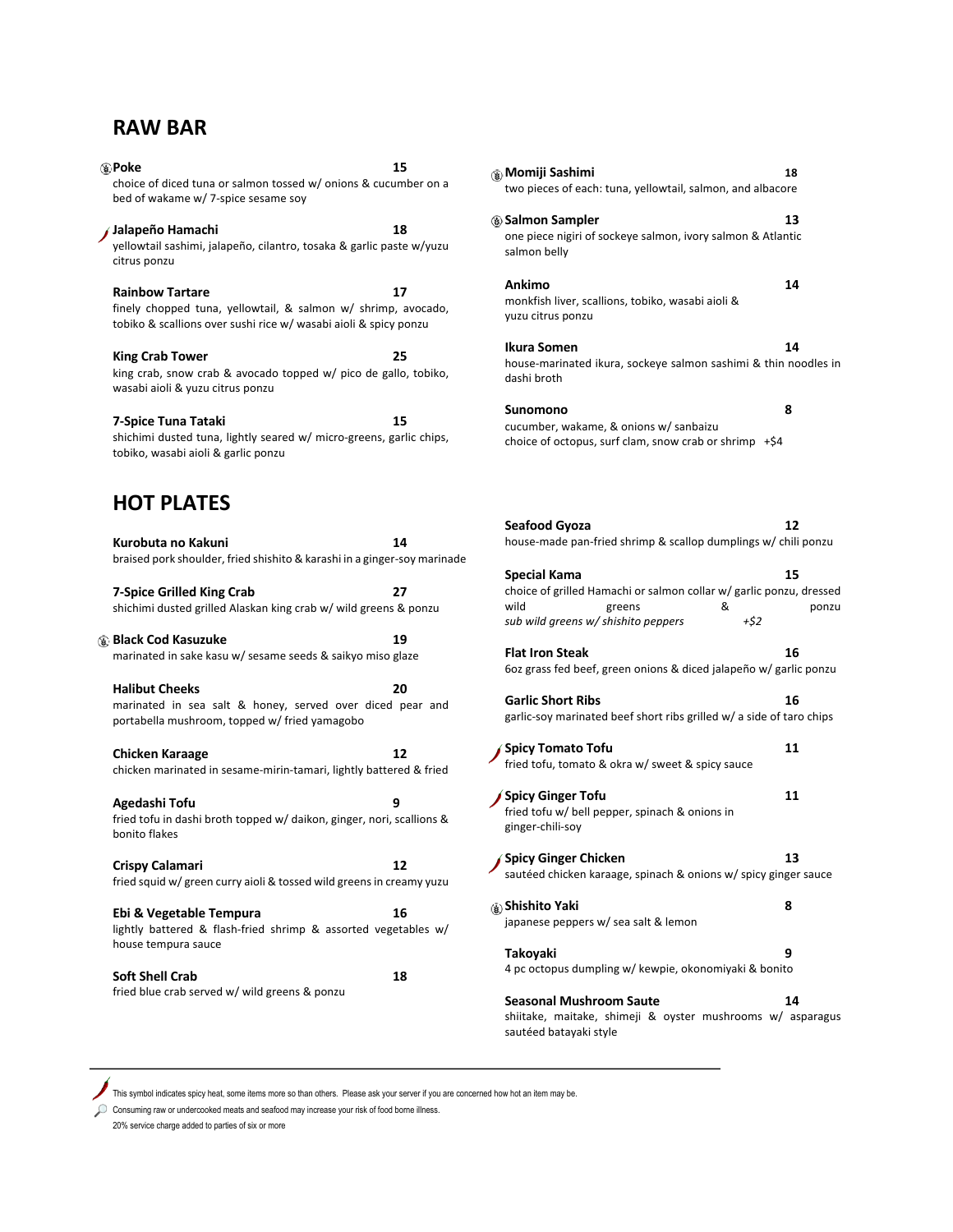### **RAW BAR**

**Poke 15** choice of diced tuna or salmon tossed w/ onions & cucumber on a bed of wakame w/ 7-spice sesame soy **Jalapeño Hamachi 18** yellowtail sashimi, jalapeño, cilantro, tosaka & garlic paste w/yuzu citrus ponzu Rainbow Tartare 17 finely chopped tuna, yellowtail, & salmon w/ shrimp, avocado, tobiko & scallions over sushi rice w/ wasabi aioli & spicy ponzu **King Crab Tower 25** king crab, snow crab & avocado topped w/ pico de gallo, tobiko, wasabi aioli & yuzu citrus ponzu **7-Spice Tuna Tataki 15** shichimi dusted tuna, lightly seared w/ micro-greens, garlic chips, tobiko, wasabi aioli & garlic ponzu **HOT PLATES Kurobuta no Kakuni 14** braised pork shoulder, fried shishito & karashi in a ginger-soy marinade **7-Spice Grilled King Crab 27** shichimi dusted grilled Alaskan king crab w/ wild greens & ponzu **Black Cod Kasuzuke** 19 marinated in sake kasu w/ sesame seeds & saikyo miso glaze **Halibut Cheeks 20**

marinated in sea salt & honey, served over diced pear and portabella mushroom, topped w/ fried yamagobo

**Chicken Karaage 12** chicken marinated in sesame-mirin-tamari, lightly battered & fried

**Agedashi Tofu 9** fried tofu in dashi broth topped w/ daikon, ginger, nori, scallions & bonito flakes

**Crispy Calamari 12** fried squid w/ green curry aioli & tossed wild greens in creamy yuzu

**Ebi & Vegetable Tempura 16** lightly battered & flash-fried shrimp & assorted vegetables w/ house tempura sauce

**Soft Shell Crab 18** fried blue crab served w/ wild greens & ponzu

**Momiji Sashimi 18** two pieces of each: tuna, yellowtail, salmon, and albacore **Salmon Sampler 13** one piece nigiri of sockeye salmon, ivory salmon & Atlantic salmon belly **Ankimo 14** monkfish liver, scallions, tobiko, wasabi aioli & yuzu citrus ponzu **Ikura Somen 14** house-marinated ikura, sockeye salmon sashimi & thin noodles in dashi broth **Sunomono 8** cucumber, wakame, & onions w/ sanbaizu choice of octopus, surf clam, snow crab or shrimp +\$4 **Seafood Gyoza 12** house-made pan-fried shrimp & scallop dumplings w/ chili ponzu **Special Kama 15** choice of grilled Hamachi or salmon collar w/ garlic ponzu, dressed wild greens & ponzu *sub wild greens w/ shishito peppers +\$2* **Flat Iron Steak 16** 6oz grass fed beef, green onions & diced jalapeño w/ garlic ponzu **Garlic Short Ribs 16** garlic-soy marinated beef short ribs grilled w/ a side of taro chips **Spicy Tomato Tofu 11** fried tofu, tomato & okra w/ sweet & spicy sauce **Spicy Ginger Tofu 11** fried tofu w/ bell pepper, spinach & onions in ginger-chili-soy **Spicy Ginger Chicken 13** sautéed chicken karaage, spinach & onions w/ spicy ginger sauce **Shishito Yaki 8** japanese peppers w/ sea salt & lemon **Takoyaki 9** 4 pc octopus dumpling w/ kewpie, okonomiyaki & bonito **Seasonal Mushroom Saute 14**

shiitake, maitake, shimeji & oyster mushrooms w/ asparagus sautéed batayaki style

This symbol indicates spicy heat, some items more so than others. Please ask your server if you are concerned how hot an item may be.

Consuming raw or undercooked meats and seafood may increase your risk of food borne illness.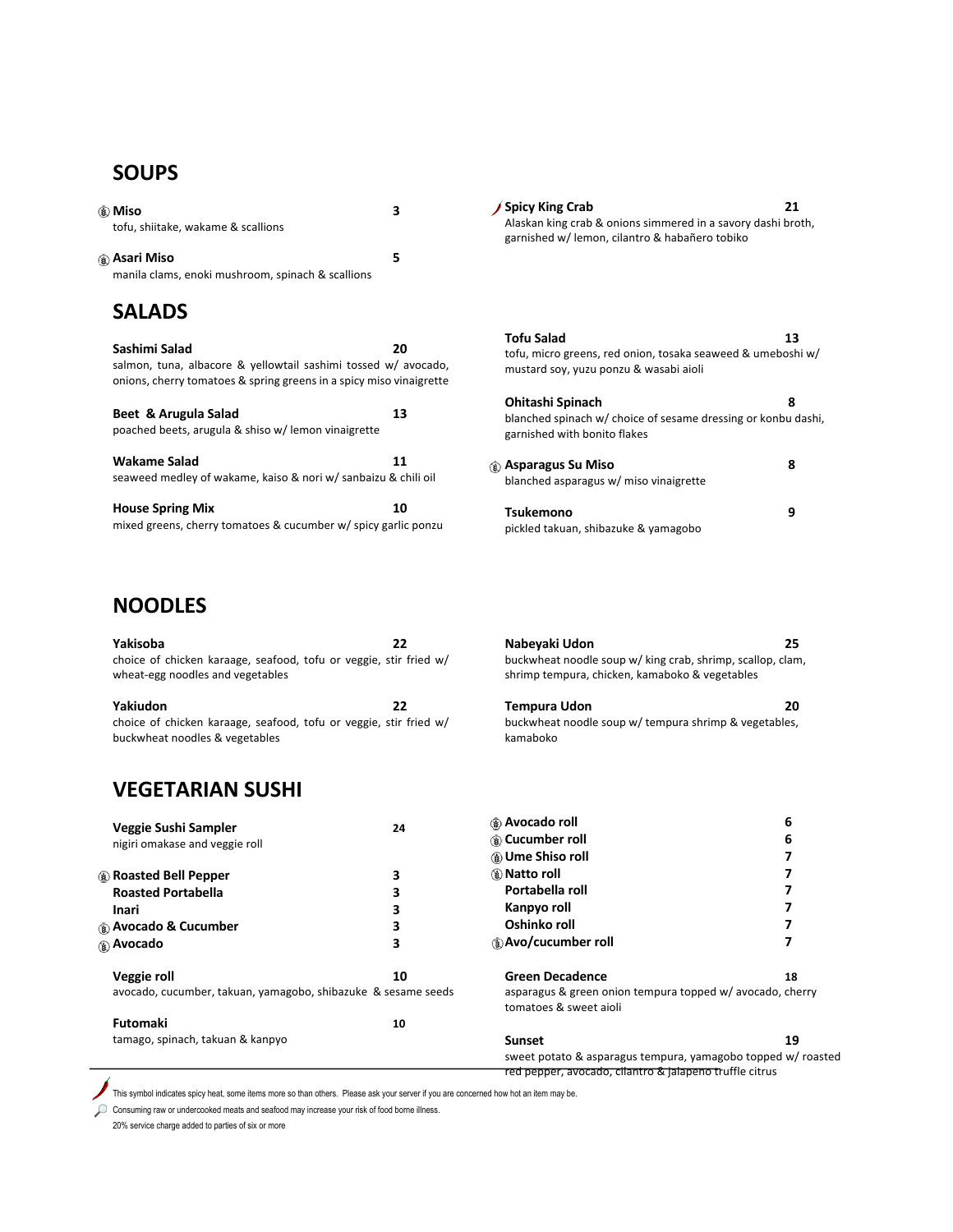## **SOUPS**

| ⊛ Miso<br>tofu, shiitake, wakame & scallions                                                                                                           | 3  | <b>Spicy King Crab</b><br>Alaskan king crab & onions simmered in a savory dashi broth,<br>garnished w/ lemon, cilantro & habañero tobiko | 21 |
|--------------------------------------------------------------------------------------------------------------------------------------------------------|----|------------------------------------------------------------------------------------------------------------------------------------------|----|
| ⊛ Asari Miso<br>manila clams, enoki mushroom, spinach & scallions                                                                                      | 5  |                                                                                                                                          |    |
| <b>SALADS</b>                                                                                                                                          |    |                                                                                                                                          |    |
| Sashimi Salad<br>salmon, tuna, albacore & yellowtail sashimi tossed w/ avocado,<br>onions, cherry tomatoes & spring greens in a spicy miso vinaigrette | 20 | <b>Tofu Salad</b><br>tofu, micro greens, red onion, tosaka seaweed & umeboshi w/<br>mustard soy, yuzu ponzu & wasabi aioli               | 13 |
| Beet & Arugula Salad<br>poached beets, arugula & shiso w/ lemon vinaigrette                                                                            | 13 | Ohitashi Spinach<br>blanched spinach w/ choice of sesame dressing or konbu dashi,<br>garnished with bonito flakes                        | 8  |
| <b>Wakame Salad</b><br>seaweed medley of wakame, kaiso & nori w/ sanbaizu & chili oil                                                                  | 11 | ⊛ Asparagus Su Miso<br>blanched asparagus w/ miso vinaigrette                                                                            | 8  |
| <b>House Spring Mix</b><br>mixed greens, cherry tomatoes & cucumber w/ spicy garlic ponzu                                                              | 10 | Tsukemono<br>pickled takuan, shibazuke & yamagobo                                                                                        | 9  |

### **NOODLES**

| Yakisoba<br>choice of chicken karaage, seafood, tofu or veggie, stir fried w/<br>wheat-egg noodles and vegetables | 22 | Nabeyaki Udon<br>buckwheat noodle soup w/ king crab, shrimp, scallop, clam,<br>shrimp tempura, chicken, kamaboko & vegetables | 25 |
|-------------------------------------------------------------------------------------------------------------------|----|-------------------------------------------------------------------------------------------------------------------------------|----|
| Yakiudon<br>choice of chicken karaage, seafood, tofu or veggie, stir fried w/                                     | 22 | Tempura Udon<br>buckwheat noodle soup w/ tempura shrimp & vegetables,                                                         | 20 |
| buckwheat noodles & vegetables                                                                                    |    | kamaboko                                                                                                                      |    |

# **VEGETARIAN SUSHI**

| Veggie Sushi Sampler<br>nigiri omakase and veggie roll        | 24 | <b>Avocado roll</b><br>(® Cucumber roll<br><b>B</b> Ume Shiso roll                  | 6<br>6 |
|---------------------------------------------------------------|----|-------------------------------------------------------------------------------------|--------|
| <b>A</b> Roasted Bell Pepper                                  |    | <b><i>⑤</i></b> Natto roll                                                          |        |
| <b>Roasted Portabella</b>                                     | 3  | Portabella roll                                                                     |        |
| <b>Inari</b>                                                  |    | Kanpyo roll                                                                         |        |
| ⊛ Avocado & Cucumber                                          |    | Oshinko roll                                                                        |        |
| <b>B</b> Avocado                                              | 3  | <b>Avo/cucumber roll</b>                                                            |        |
| Veggie roll                                                   | 10 | <b>Green Decadence</b>                                                              | 18     |
| avocado, cucumber, takuan, yamagobo, shibazuke & sesame seeds |    | asparagus & green onion tempura topped w/ avocado, cherry<br>tomatoes & sweet aioli |        |
| <b>Futomaki</b>                                               | 10 |                                                                                     |        |
| tamago, spinach, takuan & kanpyo                              |    | <b>Sunset</b><br>sweet potato & asparagus tempura, yamagobo topped w/ roasted       | 19     |
|                                                               |    | red pepper, avocado, cilantro & jalapeno truffle citrus                             |        |

This symbol indicates spicy heat, some items more so than others. Please ask your server if you are concerned how hot an item may be.

Consuming raw or undercooked meats and seafood may increase your risk of food borne illness.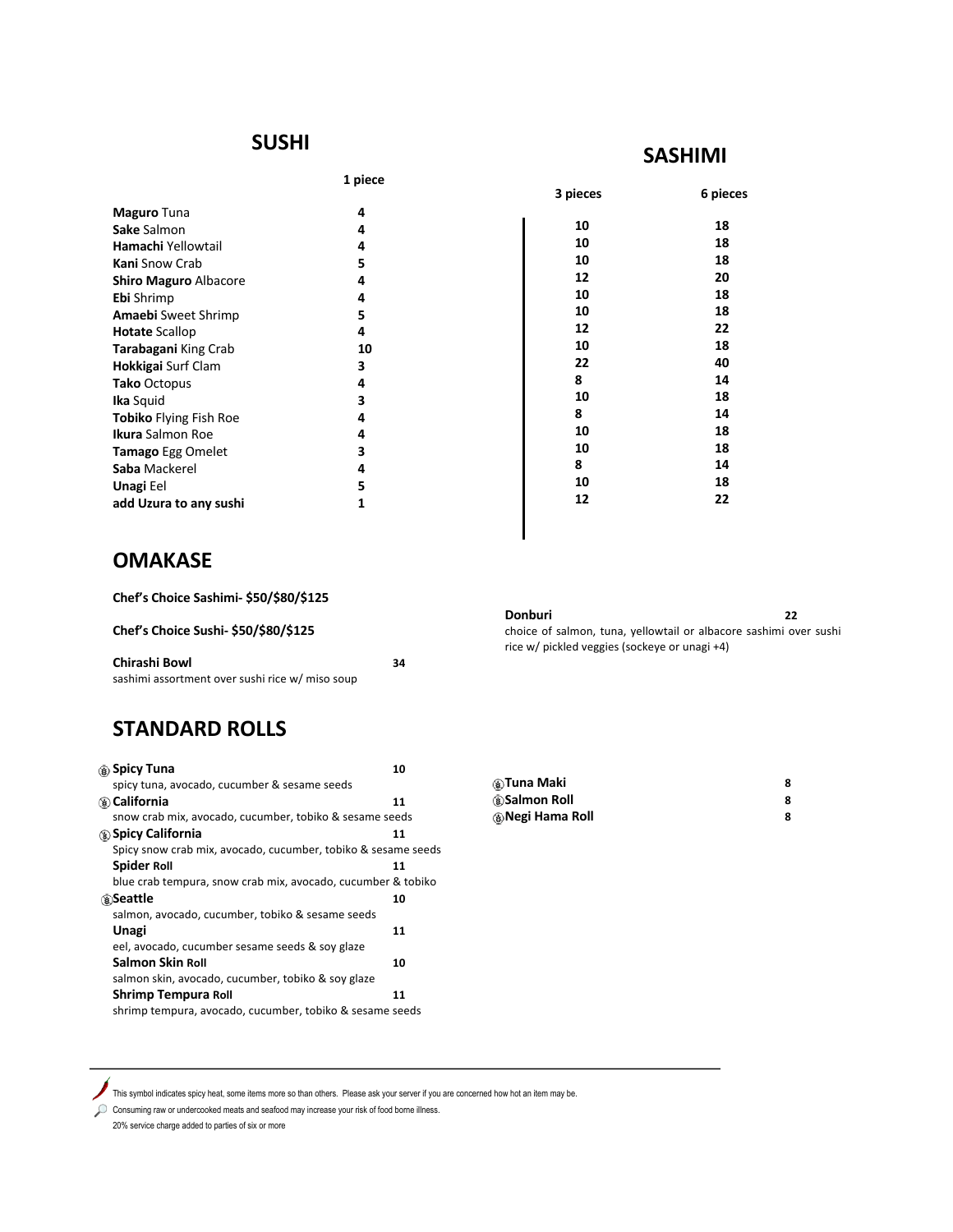#### **SUSHI**

**1 piece**

| <b>Maguro</b> Tuna            | 4  |
|-------------------------------|----|
| Sake Salmon                   | 4  |
| Hamachi Yellowtail            | 4  |
| <b>Kani</b> Snow Crab         | 5  |
| <b>Shiro Maguro Albacore</b>  | 4  |
| <b>Ebi</b> Shrimp             | 4  |
| <b>Amaebi</b> Sweet Shrimp    | 5  |
| <b>Hotate Scallop</b>         | 4  |
| <b>Tarabagani King Crab</b>   | 10 |
| <b>Hokkigai</b> Surf Clam     | 3  |
| <b>Tako Octopus</b>           | 4  |
| <b>Ika</b> Squid              | 3  |
| <b>Tobiko</b> Flying Fish Roe | 4  |
| <b>Ikura</b> Salmon Roe       | 4  |
| <b>Tamago Egg Omelet</b>      | 3  |
| Saba Mackerel                 | 4  |
| <b>Unagi Eel</b>              | 5  |
| add Uzura to any sushi        | 1  |

| 3 pieces | 6 pieces |
|----------|----------|
| 10       | 18       |
| 10       | 18       |
| 10       | 18       |
| 12       | 20       |
| 10       | 18       |
| 10       | 18       |
| 12       | 22       |
| 10       | 18       |
| 22       | 40       |
| 8        | 14       |
| 10       | 18       |
| 8        | 14       |
| 10       | 18       |
| 10       | 18       |
| 8        | 14       |
| 10       | 18       |
| 12       | 22       |
|          |          |
|          |          |

**SASHIMI**

## **OMAKASE**

**Chef's Choice Sashimi- \$50/\$80/\$125** 

**Chef's Choice Sushi- \$50/\$80/\$125** 

| Chirashi Bowl                                   | 34 |
|-------------------------------------------------|----|
| sashimi assortment over sushi rice w/ miso soup |    |

# **STANDARD ROLLS**

| ⊛ Spicy Tuna                                                  | 10 |
|---------------------------------------------------------------|----|
| spicy tuna, avocado, cucumber & sesame seeds                  |    |
| <b><i></i> © California</b>                                   | 11 |
| snow crab mix, avocado, cucumber, tobiko & sesame seeds       |    |
| <b>(8) Spicy California</b>                                   | 11 |
| Spicy snow crab mix, avocado, cucumber, tobiko & sesame seeds |    |
| <b>Spider Roll</b>                                            | 11 |
| blue crab tempura, snow crab mix, avocado, cucumber & tobiko  |    |
| ®Seattle                                                      | 10 |
| salmon, avocado, cucumber, tobiko & sesame seeds              |    |
| Unagi                                                         | 11 |
| eel, avocado, cucumber sesame seeds & soy glaze               |    |
| Salmon Skin Roll                                              | 10 |
| salmon skin, avocado, cucumber, tobiko & soy glaze            |    |
| <b>Shrimp Tempura Roll</b>                                    | 11 |
| shrimp tempura, avocado, cucumber, tobiko & sesame seeds      |    |

| ⊛Tuna Maki                     |  |
|--------------------------------|--|
| <b><i>Salmon Roll</i></b>      |  |
| <b><i></i> ®Negi Hama Roll</b> |  |

**Donburi 22** choice of salmon, tuna, yellowtail or albacore sashimi over sushi

rice w/ pickled veggies (sockeye or unagi +4)

This symbol indicates spicy heat, some items more so than others. Please ask your server if you are concerned how hot an item may be.

Consuming raw or undercooked meats and seafood may increase your risk of food borne illness.